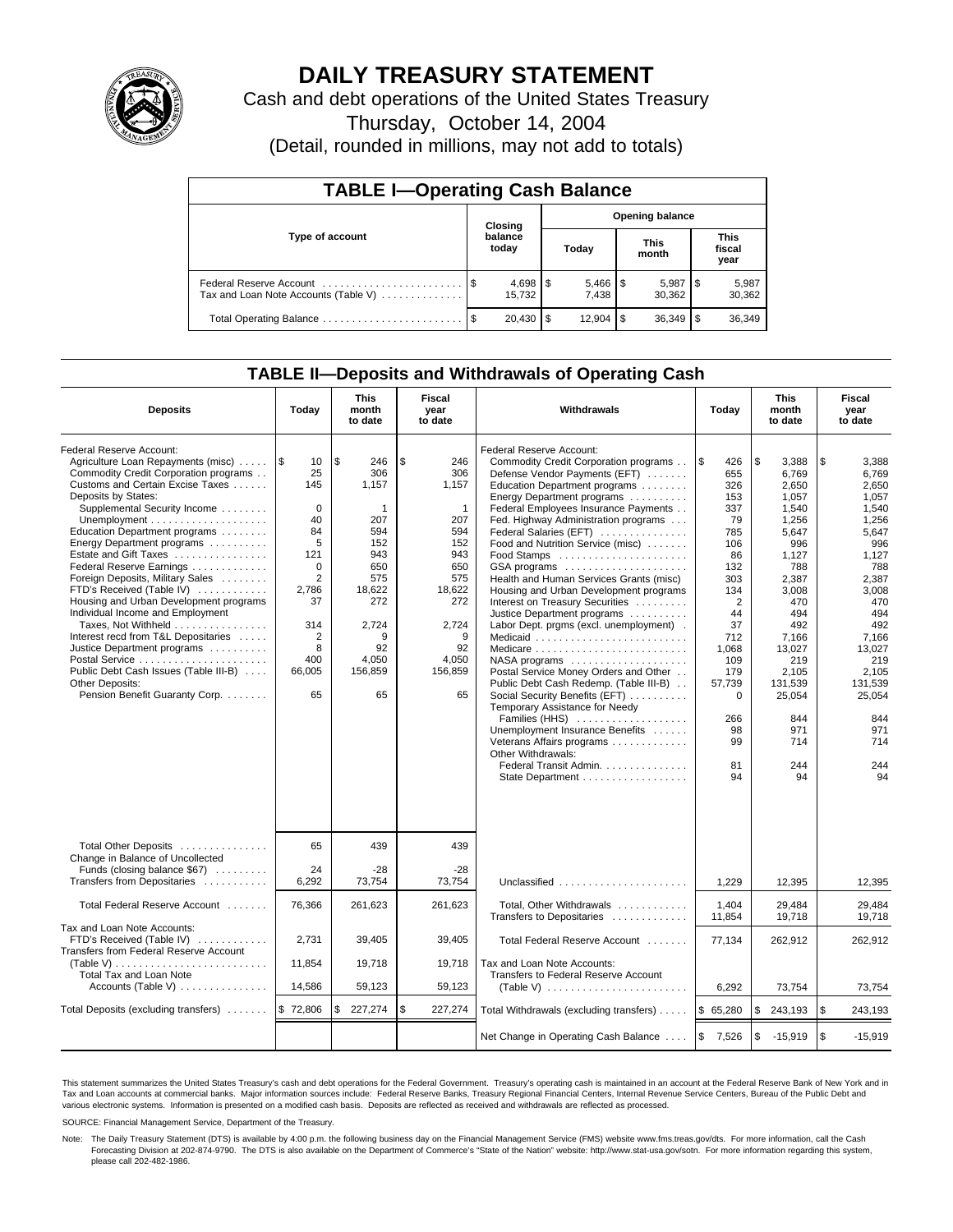

## **DAILY TREASURY STATEMENT**

Cash and debt operations of the United States Treasury

Thursday, October 14, 2004

(Detail, rounded in millions, may not add to totals)

| <b>TABLE I-Operating Cash Balance</b>                           |         |                  |       |                        |                      |                 |                               |                 |  |  |
|-----------------------------------------------------------------|---------|------------------|-------|------------------------|----------------------|-----------------|-------------------------------|-----------------|--|--|
|                                                                 | Closing |                  |       | <b>Opening balance</b> |                      |                 |                               |                 |  |  |
| Type of account                                                 |         | balance<br>today | Today |                        | <b>This</b><br>month |                 | <b>This</b><br>fiscal<br>year |                 |  |  |
| Federal Reserve Account<br>Tax and Loan Note Accounts (Table V) |         | 15.732           |       | 7.438                  |                      | 5,987<br>30.362 |                               | 5,987<br>30,362 |  |  |
| Total Operating Balance                                         | - \$    | 20.430           | l \$  | $12.904$ S             |                      | 36,349          |                               | 36,349          |  |  |

## **TABLE II—Deposits and Withdrawals of Operating Cash**

| <b>Deposits</b>                                                                                                                                                                                                                                                                                                                                                                                                                                                                                                                                                                                                                                                  | Today                                                                                                                                           | <b>This</b><br>month<br>to date                                                                                                         | <b>Fiscal</b><br>Withdrawals<br>year<br>Today<br>to date                                                                                           |                                                                                                                                                                                                                                                                                                                                                                                                                                                                                                                                                                                                                                                                                                                                                                                                                                                                                                                                 |                                                                                                                                                                                                          | <b>This</b><br>month<br>to date                                                                                                                                                                                           | Fiscal<br>year<br>to date                                                                                                                                                                                                 |
|------------------------------------------------------------------------------------------------------------------------------------------------------------------------------------------------------------------------------------------------------------------------------------------------------------------------------------------------------------------------------------------------------------------------------------------------------------------------------------------------------------------------------------------------------------------------------------------------------------------------------------------------------------------|-------------------------------------------------------------------------------------------------------------------------------------------------|-----------------------------------------------------------------------------------------------------------------------------------------|----------------------------------------------------------------------------------------------------------------------------------------------------|---------------------------------------------------------------------------------------------------------------------------------------------------------------------------------------------------------------------------------------------------------------------------------------------------------------------------------------------------------------------------------------------------------------------------------------------------------------------------------------------------------------------------------------------------------------------------------------------------------------------------------------------------------------------------------------------------------------------------------------------------------------------------------------------------------------------------------------------------------------------------------------------------------------------------------|----------------------------------------------------------------------------------------------------------------------------------------------------------------------------------------------------------|---------------------------------------------------------------------------------------------------------------------------------------------------------------------------------------------------------------------------|---------------------------------------------------------------------------------------------------------------------------------------------------------------------------------------------------------------------------|
| Federal Reserve Account:<br>Agriculture Loan Repayments (misc)<br>Commodity Credit Corporation programs<br>Customs and Certain Excise Taxes<br>Deposits by States:<br>Supplemental Security Income<br>Education Department programs<br>Energy Department programs<br>Estate and Gift Taxes<br>Federal Reserve Earnings<br>Foreign Deposits, Military Sales<br>FTD's Received (Table IV)<br>Housing and Urban Development programs<br>Individual Income and Employment<br>Taxes, Not Withheld<br>Interest recd from T&L Depositaries<br>Justice Department programs<br>Public Debt Cash Issues (Table III-B)<br>Other Deposits:<br>Pension Benefit Guaranty Corp. | ۱\$<br>10<br>25<br>145<br>$\Omega$<br>40<br>84<br>5<br>121<br>$\Omega$<br>2<br>2,786<br>37<br>314<br>$\overline{2}$<br>8<br>400<br>66,005<br>65 | \$<br>246<br>306<br>1.157<br>1<br>207<br>594<br>152<br>943<br>650<br>575<br>18,622<br>272<br>2,724<br>9<br>92<br>4,050<br>156,859<br>65 | \$<br>246<br>306<br>1,157<br>$\mathbf{1}$<br>207<br>594<br>152<br>943<br>650<br>575<br>18,622<br>272<br>2,724<br>9<br>92<br>4,050<br>156,859<br>65 | Federal Reserve Account:<br>Commodity Credit Corporation programs<br>Defense Vendor Payments (EFT)<br>Education Department programs<br>Energy Department programs<br>Federal Employees Insurance Payments<br>Fed. Highway Administration programs<br>Federal Salaries (EFT)<br>Food and Nutrition Service (misc)<br>GSA programs<br>Health and Human Services Grants (misc)<br>Housing and Urban Development programs<br>Interest on Treasury Securities<br>Justice Department programs<br>Labor Dept. prgms (excl. unemployment).<br>Medicaid<br>Medicare<br>$NASA$ programs $\ldots \ldots \ldots \ldots \ldots$<br>Postal Service Money Orders and Other<br>Public Debt Cash Redemp. (Table III-B)<br>Social Security Benefits (EFT)<br>Temporary Assistance for Needy<br>Families (HHS)<br>Unemployment Insurance Benefits<br>Veterans Affairs programs<br>Other Withdrawals:<br>Federal Transit Admin.<br>State Department | \$<br>426<br>655<br>326<br>153<br>337<br>79<br>785<br>106<br>86<br>132<br>303<br>134<br>$\overline{2}$<br>44<br>37<br>712<br>1,068<br>109<br>179<br>57,739<br>$\mathbf 0$<br>266<br>98<br>99<br>81<br>94 | \$<br>3,388<br>6.769<br>2.650<br>1,057<br>1,540<br>1,256<br>5,647<br>996<br>1.127<br>788<br>2,387<br>3.008<br>470<br>494<br>492<br>7.166<br>13,027<br>219<br>2.105<br>131,539<br>25,054<br>844<br>971<br>714<br>244<br>94 | \$<br>3,388<br>6.769<br>2,650<br>1.057<br>1,540<br>1,256<br>5,647<br>996<br>1.127<br>788<br>2,387<br>3.008<br>470<br>494<br>492<br>7.166<br>13,027<br>219<br>2.105<br>131,539<br>25,054<br>844<br>971<br>714<br>244<br>94 |
| Total Other Deposits<br>Change in Balance of Uncollected<br>Funds (closing balance \$67)<br>Transfers from Depositaries                                                                                                                                                                                                                                                                                                                                                                                                                                                                                                                                          | 65<br>24<br>6.292                                                                                                                               | 439<br>$-28$<br>73,754                                                                                                                  | 439<br>$-28$<br>73.754                                                                                                                             |                                                                                                                                                                                                                                                                                                                                                                                                                                                                                                                                                                                                                                                                                                                                                                                                                                                                                                                                 | 1.229                                                                                                                                                                                                    | 12.395                                                                                                                                                                                                                    | 12.395                                                                                                                                                                                                                    |
| Total Federal Reserve Account                                                                                                                                                                                                                                                                                                                                                                                                                                                                                                                                                                                                                                    | 76,366                                                                                                                                          | 261,623                                                                                                                                 | 261,623                                                                                                                                            | Total, Other Withdrawals                                                                                                                                                                                                                                                                                                                                                                                                                                                                                                                                                                                                                                                                                                                                                                                                                                                                                                        | 1,404                                                                                                                                                                                                    | 29,484                                                                                                                                                                                                                    | 29.484                                                                                                                                                                                                                    |
| Tax and Loan Note Accounts:<br>FTD's Received (Table IV)<br>Transfers from Federal Reserve Account<br>(Table V)<br><b>Total Tax and Loan Note</b>                                                                                                                                                                                                                                                                                                                                                                                                                                                                                                                | 2,731<br>11,854                                                                                                                                 | 39,405<br>19,718                                                                                                                        | 39,405<br>19,718                                                                                                                                   | Transfers to Depositaries<br>Total Federal Reserve Account<br>Tax and Loan Note Accounts:<br>Transfers to Federal Reserve Account                                                                                                                                                                                                                                                                                                                                                                                                                                                                                                                                                                                                                                                                                                                                                                                               | 11,854<br>77,134                                                                                                                                                                                         | 19,718<br>262,912                                                                                                                                                                                                         | 19.718<br>262,912                                                                                                                                                                                                         |
| Accounts (Table V)                                                                                                                                                                                                                                                                                                                                                                                                                                                                                                                                                                                                                                               | 14,586                                                                                                                                          | 59,123                                                                                                                                  | 59,123                                                                                                                                             | (Table V) $\ldots \ldots \ldots \ldots \ldots \ldots \ldots$                                                                                                                                                                                                                                                                                                                                                                                                                                                                                                                                                                                                                                                                                                                                                                                                                                                                    | 6,292                                                                                                                                                                                                    | 73,754                                                                                                                                                                                                                    | 73,754                                                                                                                                                                                                                    |
| Total Deposits (excluding transfers)                                                                                                                                                                                                                                                                                                                                                                                                                                                                                                                                                                                                                             | \$72,806                                                                                                                                        | \$<br>227,274                                                                                                                           | \$<br>227,274                                                                                                                                      | Total Withdrawals (excluding transfers)                                                                                                                                                                                                                                                                                                                                                                                                                                                                                                                                                                                                                                                                                                                                                                                                                                                                                         | \$65,280                                                                                                                                                                                                 | \$<br>243,193                                                                                                                                                                                                             | <b>S</b><br>243,193                                                                                                                                                                                                       |
|                                                                                                                                                                                                                                                                                                                                                                                                                                                                                                                                                                                                                                                                  |                                                                                                                                                 |                                                                                                                                         |                                                                                                                                                    | Net Change in Operating Cash Balance                                                                                                                                                                                                                                                                                                                                                                                                                                                                                                                                                                                                                                                                                                                                                                                                                                                                                            | $\sqrt{3}$<br>7,526                                                                                                                                                                                      | \$<br>$-15,919$                                                                                                                                                                                                           | $\sqrt{3}$<br>$-15,919$                                                                                                                                                                                                   |

This statement summarizes the United States Treasury's cash and debt operations for the Federal Government. Treasury's operating cash is maintained in an account at the Federal Reserve Bank of New York and in Tax and Loan accounts at commercial banks. Major information sources include: Federal Reserve Banks, Treasury Regional Financial Centers, Internal Revenue Service Centers, Bureau of the Public Debt and<br>various electronic s

SOURCE: Financial Management Service, Department of the Treasury.

Note: The Daily Treasury Statement (DTS) is available by 4:00 p.m. the following business day on the Financial Management Service (FMS) website www.fms.treas.gov/dts. For more information, call the Cash Forecasting Division at 202-874-9790. The DTS is also available on the Department of Commerce's "State of the Nation" website: http://www.stat-usa.gov/sotn. For more information regarding this system, please call 202-482-1986.